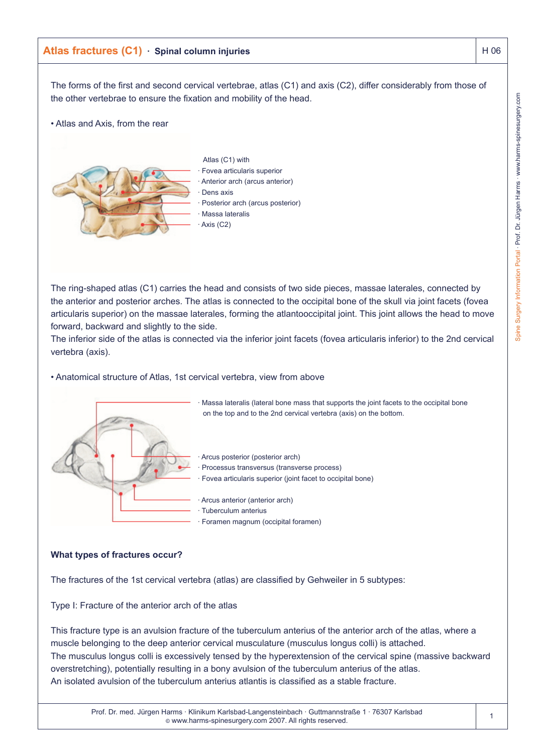# Atlas fractures (C1) · Spinal column injuries **Atlas fractures** Atlas Fractures **H** 06

The forms of the first and second cervical vertebrae, atlas (C1) and axis (C2), differ considerably from those of the other vertebrae to ensure the fixation and mobility of the head.

• Atlas and Axis, from the rear



The ring-shaped atlas (C1) carries the head and consists of two side pieces, massae laterales, connected by the anterior and posterior arches. The atlas is connected to the occipital bone of the skull via joint facets (fovea articularis superior) on the massae laterales, forming the atlantooccipital joint. This joint allows the head to move forward, backward and slightly to the side.

The inferior side of the atlas is connected via the inferior joint facets (fovea articularis inferior) to the 2nd cervical vertebra (axis).

#### • Anatomical structure of Atlas, 1st cervical vertebra, view from above



· Massa lateralis (lateral bone mass that supports the joint facets to the occipital bone on the top and to the 2nd cervical vertebra (axis) on the bottom.

Arcus posterior (posterior arch)

· Processus transversus (transverse process)

- Fovea articularis superior (joint facet to occipital bone)
- Arcus anterior (anterior arch)
- Tuberculum anterius
- Foramen magnum (occipital foramen)

### **What types of fractures occur?**

The fractures of the 1st cervical vertebra (atlas) are classified by Gehweiler in 5 subtypes:

Type I: Fracture of the anterior arch of the atlas

This fracture type is an avulsion fracture of the tuberculum anterius of the anterior arch of the atlas, where a muscle belonging to the deep anterior cervical musculature (musculus longus colli) is attached. The musculus longus colli is excessively tensed by the hyperextension of the cervical spine (massive backward overstretching), potentially resulting in a bony avulsion of the tuberculum anterius of the atlas. An isolated avulsion of the tuberculum anterius atlantis is classified as a stable fracture.

1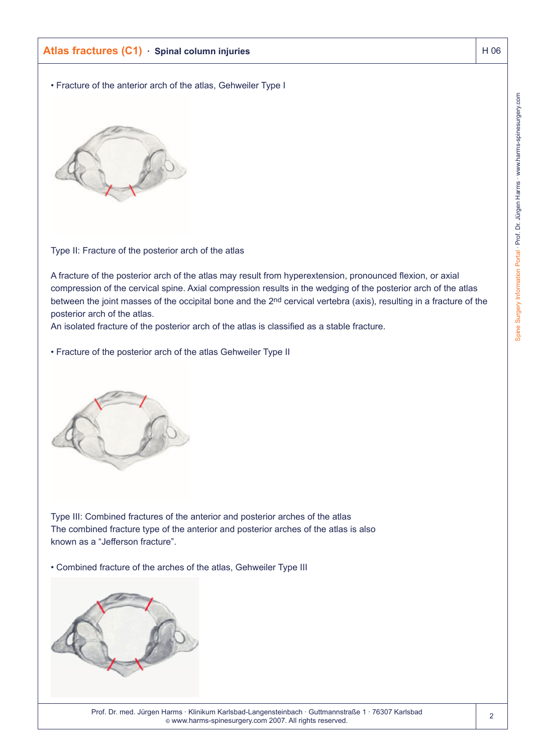# **Atlas fractures (C1) · Spinal column injuries Atlas fractures Atlas fractures (C1) · Spinal column injuries** Atlas Atlas Atlas Atlas Atlas Atlas Atlas Atlas Atlas Atlas Atlas Atlas Atlas Atlas Atlas Atlas Atlas Atlas Atla

• Fracture of the anterior arch of the atlas, Gehweiler Type I



Type II: Fracture of the posterior arch of the atlas

A fracture of the posterior arch of the atlas may result from hyperextension, pronounced flexion, or axial compression of the cervical spine. Axial compression results in the wedging of the posterior arch of the atlas between the joint masses of the occipital bone and the 2nd cervical vertebra (axis), resulting in a fracture of the posterior arch of the atlas.

An isolated fracture of the posterior arch of the atlas is classified as a stable fracture.

• Fracture of the posterior arch of the atlas Gehweiler Type II



Type III: Combined fractures of the anterior and posterior arches of the atlas The combined fracture type of the anterior and posterior arches of the atlas is also known as a "Jefferson fracture".

• Combined fracture of the arches of the atlas, Gehweiler Type III

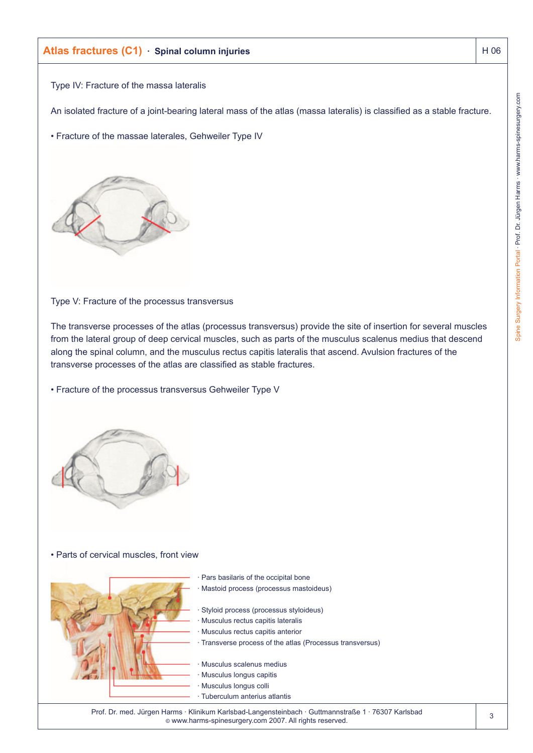# **Atlas fractures (C1) · Spinal column injuries Atlas fractures (C1) · Spinal column injuries Atlas fractures (H 06**

Type IV: Fracture of the massa lateralis

An isolated fracture of a joint-bearing lateral mass of the atlas (massa lateralis) is classified as a stable fracture.

• Fracture of the massae laterales, Gehweiler Type IV



Type V: Fracture of the processus transversus

The transverse processes of the atlas (processus transversus) provide the site of insertion for several muscles from the lateral group of deep cervical muscles, such as parts of the musculus scalenus medius that descend along the spinal column, and the musculus rectus capitis lateralis that ascend. Avulsion fractures of the transverse processes of the atlas are classified as stable fractures.

• Fracture of the processus transversus Gehweiler Type V



### • Parts of cervical muscles, front view



Pars basilaris of the occipital bone · Mastoid process (processus mastoideus)

Styloid process (processus styloideus)

- Musculus rectus capitis lateralis
- Musculus rectus capitis anterior
- · Transverse process of the atlas (Processus transversus)

· Musculus scalenus medius

- Musculus longus capitis
- Musculus longus colli
- · Tuberculum anterius atlantis

Prof. Dr. med. Jürgen Harms · Klinikum Karlsbad-Langensteinbach · Guttmannstraße 1 · 76307 Karlsbad © www.harms-spinesurgery.com 2007. All rights reserved.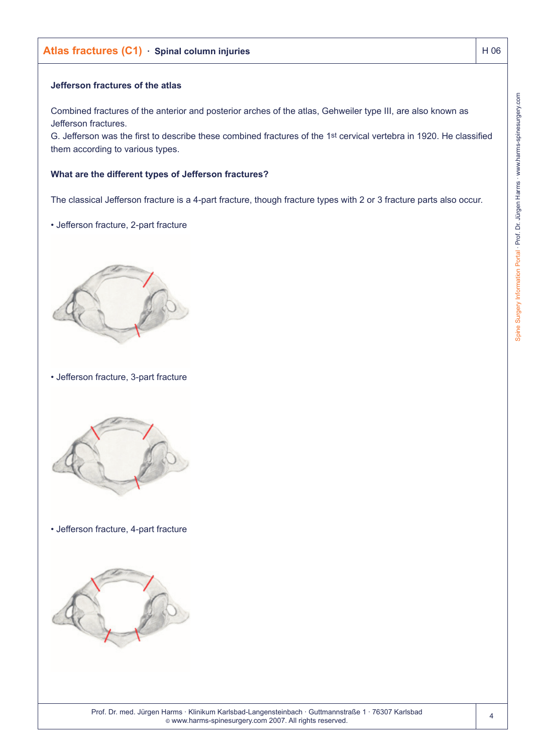# **Atlas fractures (C1) · Spinal column injuries Atlas fractures Atlas fractures Atlas fractures (C1) · Spinal column injuries Atlas Fractures Atlas Fractures Atlas Fractures Atlas Fractures Atlas Fractures Atlas Fractures A**

### **Jefferson fractures of the atlas**

Combined fractures of the anterior and posterior arches of the atlas, Gehweiler type III, are also known as Jefferson fractures.

G. Jefferson was the first to describe these combined fractures of the 1st cervical vertebra in 1920. He classified them according to various types.

#### **What are the different types of Jefferson fractures?**

The classical Jefferson fracture is a 4-part fracture, though fracture types with 2 or 3 fracture parts also occur.

### • Jefferson fracture, 2-part fracture



• Jefferson fracture, 3-part fracture



• Jefferson fracture, 4-part fracture